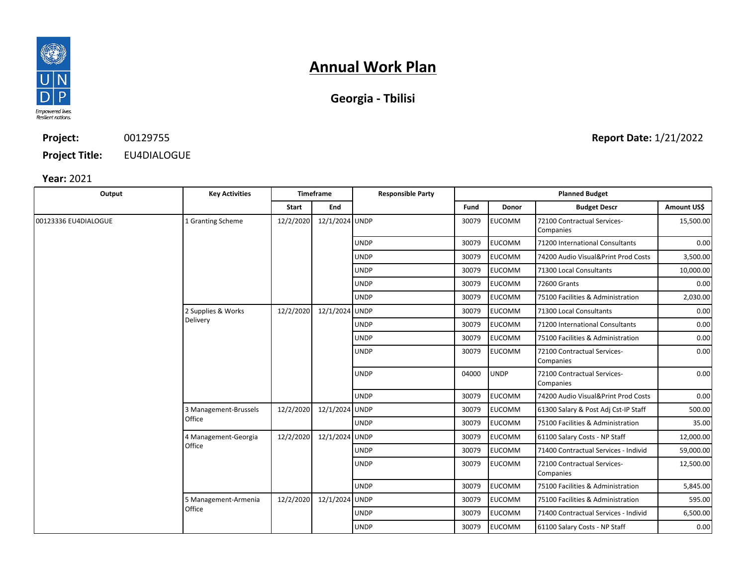

# **Annual Work Plan**

| Georgia - Tbilisi |  |
|-------------------|--|
|-------------------|--|

### **Project: Project Title:** 00129755 EU4DIALOGUE

**Year:** 2021

| Output               | <b>Key Activities</b>           | <b>Timeframe</b> |                | <b>Responsible Party</b> | <b>Planned Budget</b> |               |                                          |             |
|----------------------|---------------------------------|------------------|----------------|--------------------------|-----------------------|---------------|------------------------------------------|-------------|
|                      |                                 | Start            | End            |                          | Fund                  | <b>Donor</b>  | <b>Budget Descr</b>                      | Amount US\$ |
| 00123336 EU4DIALOGUE | 1 Granting Scheme               | 12/2/2020        | 12/1/2024 UNDP |                          | 30079                 | EUCOMM        | 72100 Contractual Services-<br>Companies | 15,500.00   |
|                      |                                 |                  |                | <b>UNDP</b>              | 30079                 | <b>EUCOMM</b> | 71200 International Consultants          | 0.00        |
|                      |                                 |                  |                | <b>UNDP</b>              | 30079                 | <b>EUCOMM</b> | 74200 Audio Visual&Print Prod Costs      | 3,500.00    |
|                      |                                 |                  |                | <b>UNDP</b>              | 30079                 | <b>EUCOMM</b> | 71300 Local Consultants                  | 10,000.00   |
|                      |                                 |                  |                | <b>UNDP</b>              | 30079                 | <b>EUCOMM</b> | 72600 Grants                             | 0.00        |
|                      |                                 |                  |                | <b>UNDP</b>              | 30079                 | <b>EUCOMM</b> | 75100 Facilities & Administration        | 2,030.00    |
|                      | 2 Supplies & Works              | 12/2/2020        | 12/1/2024      | <b>UNDP</b>              | 30079                 | <b>EUCOMM</b> | 71300 Local Consultants                  | 0.00        |
|                      | Delivery                        |                  |                | <b>UNDP</b>              | 30079                 | <b>EUCOMM</b> | 71200 International Consultants          | 0.00        |
|                      |                                 |                  |                | <b>UNDP</b>              | 30079                 | <b>EUCOMM</b> | 75100 Facilities & Administration        | 0.00        |
|                      |                                 |                  |                | <b>UNDP</b>              | 30079                 | <b>EUCOMM</b> | 72100 Contractual Services-<br>Companies | 0.00        |
|                      |                                 |                  |                | <b>UNDP</b>              | 04000                 | <b>UNDP</b>   | 72100 Contractual Services-<br>Companies | 0.00        |
|                      |                                 |                  |                | <b>UNDP</b>              | 30079                 | <b>EUCOMM</b> | 74200 Audio Visual&Print Prod Costs      | 0.00        |
|                      | 3 Management-Brussels<br>Office | 12/2/2020        | 12/1/2024 UNDP |                          | 30079                 | <b>EUCOMM</b> | 61300 Salary & Post Adi Cst-IP Staff     | 500.00      |
|                      |                                 |                  |                | <b>UNDP</b>              | 30079                 | <b>EUCOMM</b> | 75100 Facilities & Administration        | 35.00       |
|                      | 4 Management-Georgia<br>Office  | 12/2/2020        | 12/1/2024      | <b>UNDP</b>              | 30079                 | <b>EUCOMM</b> | 61100 Salary Costs - NP Staff            | 12,000.00   |
|                      |                                 |                  |                | <b>UNDP</b>              | 30079                 | <b>EUCOMM</b> | 71400 Contractual Services - Individ     | 59,000.00   |
|                      |                                 |                  |                | <b>UNDP</b>              | 30079                 | <b>EUCOMM</b> | 72100 Contractual Services-<br>Companies | 12,500.00   |
|                      |                                 |                  |                | <b>UNDP</b>              | 30079                 | <b>EUCOMM</b> | 75100 Facilities & Administration        | 5,845.00    |
|                      | 5 Management-Armenia            | 12/2/2020        | 12/1/2024 UNDP |                          | 30079                 | <b>EUCOMM</b> | 75100 Facilities & Administration        | 595.00      |
|                      | Office                          |                  |                | <b>UNDP</b>              | 30079                 | EUCOMM        | 71400 Contractual Services - Individ     | 6,500.00    |
|                      |                                 |                  |                | <b>UNDP</b>              | 30079                 | <b>EUCOMM</b> | 61100 Salary Costs - NP Staff            | 0.00        |

**Report Date:** 1/21/2022